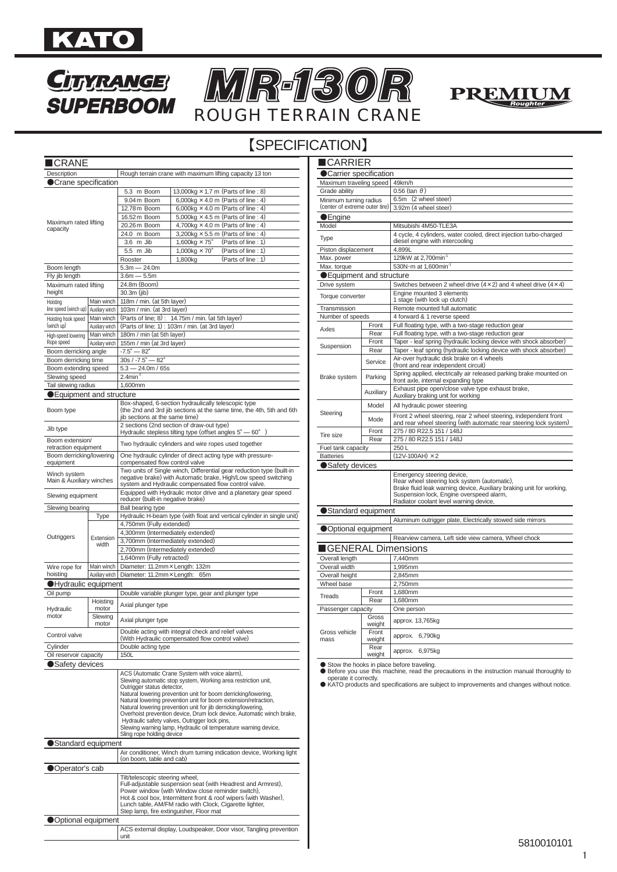

# **CITYRANGE SUPERBOOM**





# 【SPECIFICATION】

| ∎CRANE                                   |                               |                                                                                                                                                                                                 |
|------------------------------------------|-------------------------------|-------------------------------------------------------------------------------------------------------------------------------------------------------------------------------------------------|
| Description                              |                               | Rough terrain crane with maximum lifting capacity 13 ton                                                                                                                                        |
| Crane specification                      |                               |                                                                                                                                                                                                 |
|                                          |                               | 5.3 m Boom<br>13,000kg $\times$ 1.7 m (Parts of line : 8)                                                                                                                                       |
|                                          |                               | 9.04m Boom<br>6,000kg $\times$ 4.0 m (Parts of line : 4)                                                                                                                                        |
|                                          |                               | 6,000kg $\times$ 4.0 m (Parts of line : 4)<br>12.78m Boom                                                                                                                                       |
|                                          |                               | 5,000kg $\times$ 4.5 m (Parts of line : 4)<br>16.52 m Boom                                                                                                                                      |
| Maximum rated lifting<br>capacity        |                               | 4,700kg $\times$ 4.0 m (Parts of line : 4)<br>20.26 m Boom                                                                                                                                      |
|                                          |                               | 3,200kg $\times$ 5.5 m (Parts of line : 4)<br>24.0 m Boom                                                                                                                                       |
|                                          |                               | 3.6 m Jib<br>$1,600kg \times 75^\circ$<br>(Parts of line : 1)                                                                                                                                   |
|                                          |                               | 5.5 m Jib<br>$1,000kg \times 70^\circ$<br>(Parts of line: 1)                                                                                                                                    |
|                                          |                               | (Parts of line: 1)<br>Rooster<br>1,800kg                                                                                                                                                        |
| Boom length                              |                               | $5.3m - 24.0m$                                                                                                                                                                                  |
| Fly jib length                           |                               | $3.6m - 5.5m$                                                                                                                                                                                   |
| Maximum rated lifting                    |                               | 24.8m (Boom)                                                                                                                                                                                    |
| height                                   |                               | 30.3m (jib)                                                                                                                                                                                     |
| Hoisting<br>line speed (winch up)        | Main winch                    | 118m / min. (at 5th layer)                                                                                                                                                                      |
|                                          | Auxiliary winch<br>Main winch | 103m / min. (at 3rd layer)                                                                                                                                                                      |
| Hoisting hook speed<br>(winch up)        | Auxiliary winch               | (Parts of line; 8): 14.75m / min. (at 5th layer)<br>(Parts of line; 1): 103m / min. (at 3rd layer)                                                                                              |
|                                          | Main winch                    | 180m / min (at 5th layer)                                                                                                                                                                       |
| High-speed lowering<br>Rope speed        | Auxiliary winch               | 155m / min (at 3rd layer)                                                                                                                                                                       |
| Boom derricking angle                    |                               | $-7.5^{\circ} - 82^{\circ}$                                                                                                                                                                     |
| Boom derricking time                     |                               | $30s / -7.5^{\circ} - 82^{\circ}$                                                                                                                                                               |
| Boom extending speed                     |                               | $5.3 - 24.0m / 65s$                                                                                                                                                                             |
| Slewing speed                            |                               | $2.4$ min <sup>-1</sup>                                                                                                                                                                         |
| Tail slewing radius                      |                               | 1,600mm                                                                                                                                                                                         |
|                                          |                               |                                                                                                                                                                                                 |
| Equipment and structure                  |                               |                                                                                                                                                                                                 |
| Boom type                                |                               | Box-shaped, 6-section hydraulically telescopic type<br>(the 2nd and 3rd jib sections at the same time, the 4th, 5th and 6th<br>jib sections at the same time)                                   |
| Jib type                                 |                               | 2 sections (2nd section of draw-out type)<br>Hydraulic stepless tilting type (offset angles $5^\circ - 60^\circ$ )                                                                              |
| Boom extension/<br>retraction equipment  |                               | Two hydraulic cylinders and wire ropes used together                                                                                                                                            |
| Boom derricking/lowering<br>equipment    |                               | One hydraulic cylinder of direct acting type with pressure-<br>compensated flow control valve                                                                                                   |
| Winch system<br>Main & Auxiliary winches |                               | Two units of Single winch, Differential gear reduction type (built-in<br>negative brake) with Automatic brake, High/Low speed switching<br>system and Hydraulic compensated flow control valve. |
| Slewing equipment                        |                               | Equipped with Hydraulic motor drive and a planetary gear speed<br>reducer (built-in negative brake)                                                                                             |
| Slewing bearing                          |                               | Ball bearing type                                                                                                                                                                               |
|                                          | Type                          | Hydraulic H-beam type (with float and vertical cylinder in single unit)                                                                                                                         |
|                                          |                               | 4,750mm (Fully extended)                                                                                                                                                                        |
|                                          |                               | 4,300mm (Intermediately extended)                                                                                                                                                               |
| Outriggers                               | Extension<br>width            | 3,700mm (Intermediately extended)                                                                                                                                                               |
|                                          |                               | 2,700mm (Intermediately extended)                                                                                                                                                               |
|                                          |                               | 1,640mm (Fully retracted)                                                                                                                                                                       |
| Wire rope for                            | Main winch                    | Diameter: 11.2mm × Length: 132m                                                                                                                                                                 |
| hoisting                                 | Auxiliary winch               | Diameter: 11.2mm × Length: 65m                                                                                                                                                                  |
| ●Hydraulic equipment                     |                               |                                                                                                                                                                                                 |
| Oil pump                                 |                               | Double variable plunger type, gear and plunger type                                                                                                                                             |
|                                          | Hoisting                      |                                                                                                                                                                                                 |
| Hydraulic                                | motor                         | Axial plunger type                                                                                                                                                                              |
| motor                                    | Slewing                       | Axial plunger type                                                                                                                                                                              |
| Control valve                            | motor                         | Double acting with integral check and relief valves                                                                                                                                             |
|                                          |                               | (With Hydraulic compensated flow control valve)                                                                                                                                                 |
| Cylinder                                 |                               | Double acting type                                                                                                                                                                              |
| Oil reservoir capacity                   |                               | 150L                                                                                                                                                                                            |
| Safety devices                           |                               |                                                                                                                                                                                                 |
|                                          |                               | ACS (Automatic Crane System with voice alarm),                                                                                                                                                  |
|                                          |                               | Slewing automatic stop system, Working area restriction unit,                                                                                                                                   |
|                                          |                               | Outrigger status detector,<br>Natural lowering prevention unit for boom derricking/lowering,                                                                                                    |
|                                          |                               | Natural lowering prevention unit for boom extension/retraction,                                                                                                                                 |
|                                          |                               | Natural lowering prevention unit for jib derricking/lowering,                                                                                                                                   |
|                                          |                               | Overhoist prevention device, Drum lock device, Automatic winch brake,                                                                                                                           |
|                                          |                               | Hydraulic safety valves, Outrigger lock pins,                                                                                                                                                   |
|                                          |                               | Slewing warning lamp, Hydraulic oil temperature warning device,<br>Sling rope holding device                                                                                                    |
|                                          |                               |                                                                                                                                                                                                 |
| Standard equipment                       |                               |                                                                                                                                                                                                 |
|                                          |                               | Air conditioner, Winch drum turning indication device, Working light<br>(on boom, table and cab)                                                                                                |
|                                          |                               |                                                                                                                                                                                                 |
| Operator's cab                           |                               |                                                                                                                                                                                                 |
|                                          |                               | Tilt/telescopic steering wheel,                                                                                                                                                                 |
|                                          |                               | Full-adjustable suspension seat (with Headrest and Armrest),<br>Power window (with Window close reminder switch),                                                                               |
|                                          |                               | Hot & cool box, Intermittent front & roof wipers (with Washer),                                                                                                                                 |
|                                          |                               | Lunch table, AM/FM radio with Clock, Cigarette lighter,                                                                                                                                         |
|                                          |                               | Step lamp, fire extinguisher, Floor mat                                                                                                                                                         |
| Optional equipment                       |                               |                                                                                                                                                                                                 |
|                                          |                               | ACS external display, Loudspeaker, Door visor, Tangling prevention                                                                                                                              |
|                                          |                               | unit                                                                                                                                                                                            |

| <b>CARRIER</b>                    |                 |                                                                                                                                                                                                                                          |
|-----------------------------------|-----------------|------------------------------------------------------------------------------------------------------------------------------------------------------------------------------------------------------------------------------------------|
| ● Carrier specification           |                 |                                                                                                                                                                                                                                          |
| Maximum traveling speed           |                 | 49km/h                                                                                                                                                                                                                                   |
| Grade ability                     |                 | $0.56$ (tan $\theta$ )                                                                                                                                                                                                                   |
| Minimum turning radius            |                 | 6.5m (2 wheel steer)                                                                                                                                                                                                                     |
| (center of extreme outer tire)    |                 | 3.92m (4 wheel steer)                                                                                                                                                                                                                    |
| $\blacksquare$ Engine             |                 |                                                                                                                                                                                                                                          |
| Model                             |                 | Mitsubishi 4M50-TLE3A                                                                                                                                                                                                                    |
| Type                              |                 | 4 cycle, 4 cylinders, water cooled, direct injection turbo-charged<br>diesel engine with intercooling                                                                                                                                    |
| Piston displacement               |                 | 4.899L                                                                                                                                                                                                                                   |
| Max. power                        |                 | 129kW at 2,700min <sup>-1</sup>                                                                                                                                                                                                          |
| Max. torque                       |                 | 530N · m at 1,600min <sup>-1</sup>                                                                                                                                                                                                       |
| ● Equipment and structure         |                 |                                                                                                                                                                                                                                          |
| Drive system                      |                 | Switches between 2 wheel drive $(4 \times 2)$ and 4 wheel drive $(4 \times 4)$                                                                                                                                                           |
| Torque converter                  |                 | Engine mounted 3 elements<br>1 stage (with lock up clutch)                                                                                                                                                                               |
| Transmission                      |                 | Remote mounted full automatic                                                                                                                                                                                                            |
| Number of speeds                  |                 | 4 forward & 1 reverse speed                                                                                                                                                                                                              |
| Axles                             | Front           | Full floating type, with a two-stage reduction gear                                                                                                                                                                                      |
|                                   | Rear            | Full floating type, with a two-stage reduction gear                                                                                                                                                                                      |
|                                   | Front           | Taper - leaf spring (hydraulic locking device with shock absorber)                                                                                                                                                                       |
| Suspension                        | Rear            | Taper - leaf spring (hydraulic locking device with shock absorber)                                                                                                                                                                       |
|                                   | Service         | Air-over hydraulic disk brake on 4 wheels<br>(front and rear independent circuit)                                                                                                                                                        |
| Brake system                      | Parking         | Spring applied, electrically air released parking brake mounted on                                                                                                                                                                       |
|                                   |                 | front axle, internal expanding type                                                                                                                                                                                                      |
|                                   | Auxiliary       | Exhaust pipe open/close valve type exhaust brake,<br>Auxiliary braking unit for working                                                                                                                                                  |
| Steering                          | Model           | All hydraulic power steering                                                                                                                                                                                                             |
|                                   | Mode            | Front 2 wheel steering, rear 2 wheel steering, independent front<br>and rear wheel steering (with automatic rear steering lock system)                                                                                                   |
| Tire size                         | Front           | 275 / 80 R22.5 151 / 148J                                                                                                                                                                                                                |
|                                   | Rear            | 275 / 80 R22.5 151 / 148J                                                                                                                                                                                                                |
| Fuel tank capacity                |                 | 250L                                                                                                                                                                                                                                     |
| <b>Batteries</b>                  |                 | $(12V-100AH) \times 2$                                                                                                                                                                                                                   |
| Safety devices                    |                 |                                                                                                                                                                                                                                          |
|                                   |                 | Emergency steering device,<br>Rear wheel steering lock system (automatic),<br>Brake fluid leak warning device, Auxiliary braking unit for working,<br>Suspension lock, Engine overspeed alarm,<br>Radiator coolant level warning device, |
| ● Standard equipment              |                 |                                                                                                                                                                                                                                          |
|                                   |                 | Aluminum outrigger plate, Electrically stowed side mirrors                                                                                                                                                                               |
| Optional equipment                |                 |                                                                                                                                                                                                                                          |
|                                   |                 | Rearview camera, Left side view camera, Wheel chock                                                                                                                                                                                      |
| $\blacksquare$ GENERAL Dimensions |                 |                                                                                                                                                                                                                                          |
| Overall length                    |                 | 7,440mm                                                                                                                                                                                                                                  |
| Overall width                     |                 | 1,995mm                                                                                                                                                                                                                                  |
| Overall height                    |                 | 2,845mm                                                                                                                                                                                                                                  |
| Wheel base                        |                 | 2,750mm                                                                                                                                                                                                                                  |
|                                   | Front           | 1,680mm                                                                                                                                                                                                                                  |
| Treads                            | Rear            | 1,680mm                                                                                                                                                                                                                                  |
| Passenger capacity                |                 | One person                                                                                                                                                                                                                               |
|                                   | Gross<br>weight | approx. 13,765kg                                                                                                                                                                                                                         |
| Gross vehicle<br>mass             | Front<br>weight | 6,790kg<br>approx.                                                                                                                                                                                                                       |
|                                   | Rear<br>weight  | approx. 6,975kg                                                                                                                                                                                                                          |
|                                   |                 |                                                                                                                                                                                                                                          |
| operate it correctly.             |                 | Stow the hooks in place before traveling.<br>Before you use this machine, read the precautions in the instruction manual thoroughly to<br>KATO products and specifications are subject to improvements and changes without notice.       |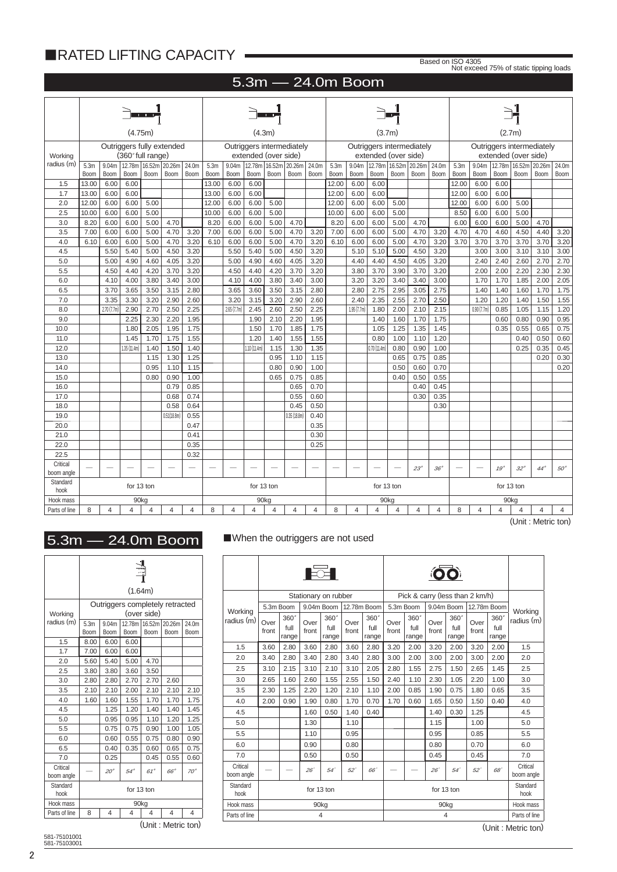# ■RATED LIFTING CAPACITY •

Based on ISO 4305 Not exceed 75% of static tipping loads

# 5.3m ― 24.0m Boom

|                        |                  |                   | (4.75m)           |                |                           |       |                  |             | (4.3m)               |                |                           |       |             |             | (3.7 <sub>m</sub> )  |                      |                           |                 |       |            | (2.7 <sub>m</sub> ) |                      |                           |                |
|------------------------|------------------|-------------------|-------------------|----------------|---------------------------|-------|------------------|-------------|----------------------|----------------|---------------------------|-------|-------------|-------------|----------------------|----------------------|---------------------------|-----------------|-------|------------|---------------------|----------------------|---------------------------|----------------|
| Working                |                  |                   | (360° full range) |                | Outriggers fully extended |       |                  |             | extended (over side) |                | Outriggers intermediately |       |             |             | extended (over side) |                      | Outriggers intermediately |                 |       |            |                     | extended (over side) | Outriggers intermediately |                |
| radius (m)             | 5.3 <sub>m</sub> | 9.04 <sub>m</sub> | 12.78m            |                | 16.52m 20.26m             | 24.0m | 5.3 <sub>m</sub> | 9.04m       | 12.78m               |                | 16.52m 20.26m             | 24.0m | 5.3m        | 9.04m       |                      | 12.78m 16.52m 20.26m |                           | 24.0m           | 5.3m  | 9.04m      | 12.78m              | 16.52m 20.26m        |                           | 24.0m          |
|                        | Boom             | Boom              | Boom              | Boom           | Boom                      | Boom  | Boom             | Boom        | Boom                 | <b>Boom</b>    | <b>Boom</b>               | Boom  | <b>Boom</b> | <b>Boom</b> | Boom                 | Boom                 | Boom                      | Boom            | Boom  | Boom       | Boom                | Boom                 | <b>Boom</b>               | <b>Boom</b>    |
| 1.5                    | 13.00            | 6.00              | 6.00              |                |                           |       | 13.00            | 6.00        | 6.00                 |                |                           |       | 12.00       | 6.00        | 6.00                 |                      |                           |                 | 12.00 | 6.00       | 6.00                |                      |                           |                |
| 1.7                    | 13.00            | 6.00              | 6.00              |                |                           |       | 13.00            | 6.00        | 6.00                 |                |                           |       | 12.00       | 6.00        | 6.00                 |                      |                           |                 | 12.00 | 6.00       | 6.00                |                      |                           |                |
| 2.0                    | 12.00            | 6.00              | 6.00              | 5.00           |                           |       | 12.00            | 6.00        | 6.00                 | 5.00           |                           |       | 12.00       | 6.00        | 6.00                 | 5.00                 |                           |                 | 12.00 | 6.00       | 6.00                | 5.00                 |                           |                |
| 2.5                    | 10.00            | 6.00              | 6.00              | 5.00           |                           |       | 10.00            | 6.00        | 6.00                 | 5.00           |                           |       | 10.00       | 6.00        | 6.00                 | 5.00                 |                           |                 | 8.50  | 6.00       | 6.00                | 5.00                 |                           |                |
| 3.0                    | 8.20             | 6.00              | 6.00              | 5.00           | 4.70                      |       | 8.20             | 6.00        | 6.00                 | 5.00           | 4.70                      |       | 8.20        | 6.00        | 6.00                 | 5.00                 | 4.70                      |                 | 6.00  | 6.00       | 6.00                | 5.00                 | 4.70                      |                |
| 3.5                    | 7.00             | 6.00              | 6.00              | 5.00           | 4.70                      | 3.20  | 7.00             | 6.00        | 6.00                 | 5.00           | 4.70                      | 3.20  | 7.00        | 6.00        | 6.00                 | 5.00                 | 4.70                      | 3.20            | 4.70  | 4.70       | 4.60                | 4.50                 | 4.40                      | 3.20           |
| 4.0                    | 6.10             | 6.00              | 6.00              | 5.00           | 4.70                      | 3.20  | 6.10             | 6.00        | 6.00                 | 5.00           | 4.70                      | 3.20  | 6.10        | 6.00        | 6.00                 | 5.00                 | 4.70                      | 3.20            | 3.70  | 3.70       | 3.70                | 3.70                 | 3.70                      | 3.20           |
| 4.5                    |                  | 5.50              | 5.40              | 5.00           | 4.50                      | 3.20  |                  | 5.50        | 5.40                 | 5.00           | 4.50                      | 3.20  |             | 5.10        | 5.10                 | 5.00                 | 4.50                      | 3.20            |       | 3.00       | 3.00                | 3.10                 | 3.10                      | 3.00           |
| 5.0                    |                  | 5.00              | 4.90              | 4.60           | 4.05                      | 3.20  |                  | 5.00        | 4.90                 | 4.60           | 4.05                      | 3.20  |             | 4.40        | 4.40                 | 4.50                 | 4.05                      | 3.20            |       | 2.40       | 2.40                | 2.60                 | 2.70                      | 2.70           |
| 5.5                    |                  | 4.50              | 4.40              | 4.20           | 3.70                      | 3.20  |                  | 4.50        | 4.40                 | 4.20           | 3.70                      | 3.20  |             | 3.80        | 3.70                 | 3.90                 | 3.70                      | 3.20            |       | 2.00       | 2.00                | 2.20                 | 2.30                      | 2.30           |
| 6.0                    |                  | 4.10              | 4.00              | 3.80           | 3.40                      | 3.00  |                  | 4.10        | 4.00                 | 3.80           | 3.40                      | 3.00  |             | 3.20        | 3.20                 | 3.40                 | 3.40                      | 3.00            |       | 1.70       | 1.70                | 1.85                 | 2.00                      | 2.05           |
| 6.5                    |                  | 3.70              | 3.65              | 3.50           | 3.15                      | 2.80  |                  | 3.65        | 3.60                 | 3.50           | 3.15                      | 2.80  |             | 2.80        | 2.75                 | 2.95                 | 3.05                      | 2.75            |       | 1.40       | 1.40                | 1.60                 | 1.70                      | 1.75           |
| 7.0                    |                  | 3.35              | 3.30              | 3.20           | 2.90                      | 2.60  |                  | 3.20        | 3.15                 | 3.20           | 2.90                      | 2.60  |             | 2.40        | 2.35                 | 2.55                 | 2.70                      | 2.50            |       | 1.20       | 1.20                | 1.40                 | 1.50                      | 1.55           |
| 8.0                    |                  | 2.70 (7.7m)       | 2.90              | 2.70           | 2.50                      | 2.25  |                  | 2.65 (7.7m) | 2.45                 | 2.60           | 2.50                      | 2.25  |             | 1.95 (7.7m) | 1.80                 | 2.00                 | 2.10                      | 2.15            |       | 0.90(7.7m) | 0.85                | 1.05                 | 1.15                      | 1.20           |
| 9.0                    |                  |                   | 2.25              | 2.30           | 2.20                      | 1.95  |                  |             | 1.90                 | 2.10           | 2.20                      | 1.95  |             |             | 1.40                 | 1.60                 | 1.70                      | 1.75            |       |            | 0.60                | 0.80                 | 0.90                      | 0.95           |
| 10.0                   |                  |                   | 1.80              | 2.05           | 1.95                      | 1.75  |                  |             | 1.50                 | 1.70           | 1.85                      | 1.75  |             |             | 1.05                 | 1.25                 | 1.35                      | 1.45            |       |            | 0.35                | 0.55                 | 0.65                      | 0.75           |
| 11.0                   |                  |                   | 1.45              | 1.70           | 1.75                      | 1.55  |                  |             | 1.20                 | 1.40           | 1.55                      | 1.55  |             |             | 0.80                 | 1.00                 | 1.10                      | 1.20            |       |            |                     | 0.40                 | 0.50                      | 0.60           |
| 12.0                   |                  |                   | 1.35 (11.4m)      | 1.40           | 1.50                      | 1.40  |                  |             | 1.10 (11.4m)         | 1.15           | 1.30                      | 1.35  |             |             | 0.70(11.4m)          | 0.80                 | 0.90                      | 1.00            |       |            |                     | 0.25                 | 0.35                      | 0.45           |
| 13.0                   |                  |                   |                   | 1.15           | 1.30                      | 1.25  |                  |             |                      | 0.95           | 1.10                      | 1.15  |             |             |                      | 0.65                 | 0.75                      | 0.85            |       |            |                     |                      | 0.20                      | 0.30           |
| 14.0                   |                  |                   |                   | 0.95           | 1.10                      | 1.15  |                  |             |                      | 0.80           | 0.90                      | 1.00  |             |             |                      | 0.50                 | 0.60                      | 0.70            |       |            |                     |                      |                           | 0.20           |
| 15.0                   |                  |                   |                   | 0.80           | 0.90                      | 1.00  |                  |             |                      | 0.65           | 0.75                      | 0.85  |             |             |                      | 0.40                 | 0.50                      | 0.55            |       |            |                     |                      |                           |                |
| 16.0                   |                  |                   |                   |                | 0.79                      | 0.85  |                  |             |                      |                | 0.65                      | 0.70  |             |             |                      |                      | 0.40                      | 0.45            |       |            |                     |                      |                           |                |
| 17.0                   |                  |                   |                   |                | 0.68                      | 0.74  |                  |             |                      |                | 0.55                      | 0.60  |             |             |                      |                      | 0.30                      | 0.35            |       |            |                     |                      |                           |                |
| 18.0                   |                  |                   |                   |                | 0.58                      | 0.64  |                  |             |                      |                | 0.45                      | 0.50  |             |             |                      |                      |                           | 0.30            |       |            |                     |                      |                           |                |
| 19.0                   |                  |                   |                   |                | 0.51(18.8m)               | 0.55  |                  |             |                      |                | 0.35(18.8m)               | 0.40  |             |             |                      |                      |                           |                 |       |            |                     |                      |                           |                |
| 20.0                   |                  |                   |                   |                |                           | 0.47  |                  |             |                      |                |                           | 0.35  |             |             |                      |                      |                           |                 |       |            |                     |                      |                           |                |
| 21.0                   |                  |                   |                   |                |                           | 0.41  |                  |             |                      |                |                           | 0.30  |             |             |                      |                      |                           |                 |       |            |                     |                      |                           |                |
| 22.0                   |                  |                   |                   |                |                           | 0.35  |                  |             |                      |                |                           | 0.25  |             |             |                      |                      |                           |                 |       |            |                     |                      |                           |                |
| 22.5                   |                  |                   |                   |                |                           | 0.32  |                  |             |                      |                |                           |       |             |             |                      |                      |                           |                 |       |            |                     |                      |                           |                |
| Critical<br>boom angle |                  |                   |                   |                |                           |       |                  |             |                      |                |                           |       |             |             |                      |                      | $23^{\circ}$              | 36 <sup>°</sup> |       |            | $1.9^\circ$         | $32^\circ$           | $44^\circ$                | $50^\circ$     |
| Standard<br>hook       |                  |                   | for 13 ton        |                |                           |       |                  |             |                      | for 13 ton     |                           |       |             |             | for 13 ton           |                      |                           |                 |       |            | for 13 ton          |                      |                           |                |
| Hook mass              |                  |                   | 90 <sub>kg</sub>  |                |                           |       |                  |             |                      | 90kg           |                           |       |             |             | 90kg                 |                      |                           |                 |       |            |                     | 90kg                 |                           |                |
| Parts of line          | 8                | 4                 | 4                 | $\overline{4}$ | 4                         | 4     | 8                | 4           | 4                    | $\overline{4}$ | 4                         | 4     | 8           | 4           | 4                    | $\overline{4}$       | 4                         | 4               | 8     | 4          | 4                   | $\overline{4}$       | $\overline{4}$            | $\overline{4}$ |

# 5.3m ― 24.0m Boom ■When the outriggers are not used

|                        |                  |                | (1.64m)    |                |                                 |                |
|------------------------|------------------|----------------|------------|----------------|---------------------------------|----------------|
| Working                |                  |                |            | (over side)    | Outriggers completely retracted |                |
| radius (m)             | 5.3 <sub>m</sub> | 9.04m          | 12.78m     | 16.52m         | 20.26m                          | 24.0m          |
|                        | Boom             | Boom           | Boom       | Boom           | Boom                            | Boom           |
| 1.5                    | 8.00             | 6.00           | 6.00       |                |                                 |                |
| 1.7                    | 7.00             | 6.00           | 6.00       |                |                                 |                |
| 2.0                    | 5.60             | 5.40           | 5.00       | 4.70           |                                 |                |
| 2.5                    | 3.80             | 3.80           | 3.60       | 3.50           |                                 |                |
| 3.0                    | 2.80             | 2.80           | 2.70       | 2.70           | 2.60                            |                |
| 3.5                    | 2.10             | 2.10           | 2.00       | 2.10           | 2.10                            | 2.10           |
| 4.0                    | 1.60             | 1.60           | 1.55       | 1.70           | 1.70                            | 1.75           |
| 4.5                    |                  | 1.25           | 1.20       | 1.40           | 1.40                            | 1.45           |
| 5.0                    |                  | 0.95           | 0.95       | 1.10           | 1.20                            | 1.25           |
| 5.5                    |                  | 0.75           | 0.75       | 0.90           | 1.00                            | 1.05           |
| 6.0                    |                  | 0.60           | 0.55       | 0.75           | 0.80                            | 0.90           |
| 6.5                    |                  | 0.40           | 0.35       | 0.60           | 0.65                            | 0.75           |
| 7.0                    |                  | 0.25           |            | 0.45           | 0.55                            | 0.60           |
| Critical<br>boom angle |                  | $20^{\circ}$   | $54^\circ$ | $61^\circ$     | 66°                             | $70^\circ$     |
| Standard<br>hook       |                  |                | for 13 ton |                |                                 |                |
| Hook mass              |                  |                |            | 90kg           |                                 |                |
| Parts of line          | 8                | $\overline{4}$ | 4          | $\overline{4}$ | $\overline{4}$                  | $\overline{4}$ |

(Unit : Metric ton)

|                        |               |                       |               | Stationary on rubber  |               |                              |               | Pick & carry (less than 2 km/h) |                        |                       |               |                              |               |
|------------------------|---------------|-----------------------|---------------|-----------------------|---------------|------------------------------|---------------|---------------------------------|------------------------|-----------------------|---------------|------------------------------|---------------|
| Working                |               | 5.3m Boom             |               | 9.04m Boom            |               | 12.78m Boom                  |               | 5.3m Boom                       |                        | 9.04m Boom            |               | 12.78m Boom                  | Working       |
| radius (m)             | Over<br>front | 360°<br>full<br>range | Over<br>front | 360°<br>full<br>range | Over<br>front | $360^\circ$<br>full<br>range | Over<br>front | 360°<br>full<br>range           | Over<br>front          | 360°<br>full<br>range | Over<br>front | $360^\circ$<br>full<br>range | radius (m)    |
| 1.5                    | 3.60          | 2.80                  | 3.60          | 2.80                  | 3.60          | 2.80                         | 3.20          | 2.00                            | 3.20                   | 2.00                  | 3.20          | 2.00                         | 1.5           |
| 2.0                    | 3.40          | 2.80                  | 3.40          | 2.80                  | 3.40          | 2.80                         | 3.00          | 2.00                            | 3.00                   | 2.00                  | 3.00          | 2.00                         | 2.0           |
| 2.5                    | 3.10          | 2.15                  | 3.10          | 2.10                  | 3.10          | 2.05                         | 2.80          | 1.55                            | 2.75                   | 1.50                  | 2.65          | 1.45                         | 2.5           |
| 3.0                    | 2.65          | 1.60                  | 2.60          | 1.55                  | 2.55          | 1.50                         | 2.40          | 1.10                            | 2.30                   | 1.05                  | 2.20          | 1.00                         | 3.0           |
| 3.5                    | 2.30          | 1.25                  | 2.20          | 1.20                  | 2.10          | 1.10                         | 2.00          | 0.85                            | 1.90                   | 0.75                  | 1.80          | 0.65                         | 3.5           |
| 4.0                    | 2.00          | 0.90                  | 1.90          | 0.80                  | 1.70          | 0.70                         | 1.70          | 0.60                            | 1.65                   | 0.50                  | 1.50          | 0.40                         | 4.0           |
| 4.5                    |               |                       | 1.60          | 0.50                  | 1.40          | 0.40                         |               |                                 | 1.40                   | 0.30                  | 1.25          |                              | 4.5           |
| 5.0                    |               |                       | 1.30          |                       | 1.10          |                              |               |                                 | 1.15                   |                       | 1.00          |                              | 5.0           |
| 5.5                    |               |                       | 1.10          |                       | 0.95          |                              |               |                                 | 0.95                   |                       | 0.85          |                              | 5.5           |
| 6.0                    |               |                       | 0.90          |                       | 0.80          |                              |               |                                 | 0.80                   |                       | 0.70          |                              | 6.0           |
| 7.0                    |               |                       | 0.50          |                       | 0.50          |                              |               |                                 | 0.45                   |                       | 0.45          |                              | 7.0           |
| Critical<br>boom angle |               |                       | $26^\circ$    | $54^\circ$            | 52"           | 66                           |               | 68                              | Critical<br>boom angle |                       |               |                              |               |
| Standard<br>hook       |               |                       |               | for 13 ton            |               |                              |               |                                 | Standard<br>hook       |                       |               |                              |               |
| Hook mass              |               |                       |               | 90kg                  |               |                              |               |                                 | Hook mass              |                       |               |                              |               |
| Parts of line          |               |                       |               | 4                     |               |                              |               |                                 |                        | $\overline{4}$        |               |                              | Parts of line |

(Unit : Metric ton)

(Unit : Metric ton)

581-75101001 581-75103001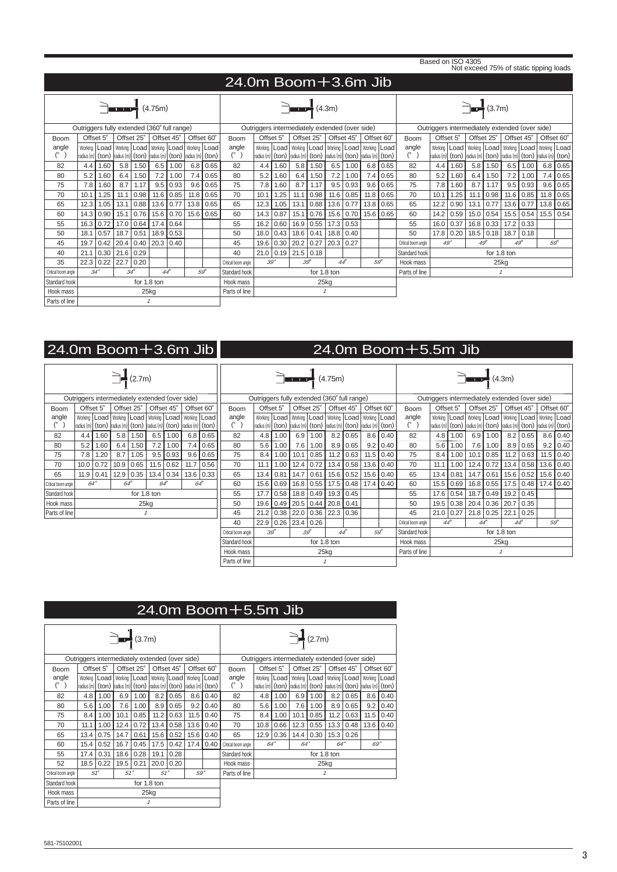|                     |             |                  |                                                                                                              |            |                  |                |            |             |                         |                                                |      |                                                                                                                                                 |              |               |              |                     |            |                     | Based on ISO 4305 |                |               |             | Not exceed 75% of static tipping loads                                                                                                                         |             |             |            |
|---------------------|-------------|------------------|--------------------------------------------------------------------------------------------------------------|------------|------------------|----------------|------------|-------------|-------------------------|------------------------------------------------|------|-------------------------------------------------------------------------------------------------------------------------------------------------|--------------|---------------|--------------|---------------------|------------|---------------------|-------------------|----------------|---------------|-------------|----------------------------------------------------------------------------------------------------------------------------------------------------------------|-------------|-------------|------------|
|                     |             |                  |                                                                                                              |            |                  |                |            |             | $24.0m$ Boom + 3.6m Jib |                                                |      |                                                                                                                                                 |              |               |              |                     |            |                     |                   |                |               |             |                                                                                                                                                                |             |             |            |
|                     |             |                  |                                                                                                              |            | (4.75m)          |                |            |             |                         |                                                |      |                                                                                                                                                 | (4.3m)       |               |              |                     |            |                     |                   |                | $\sum$ (3.7m) |             |                                                                                                                                                                |             |             |            |
|                     |             |                  | Outriggers fully extended (360° full range)                                                                  |            |                  |                |            |             |                         | Outriggers intermediately extended (over side) |      |                                                                                                                                                 |              |               |              |                     |            |                     |                   |                |               |             | Outriggers intermediately extended (over side)                                                                                                                 |             |             |            |
| Boom                |             | Offset 5°        | Offset 25°                                                                                                   |            |                  | Offset 45°     | Offset 60° |             | Boom                    | Offset 5°                                      |      |                                                                                                                                                 | Offset 25°   | Offset 45°    |              |                     | Offset 60° | <b>Boom</b>         |                   | Offset 5°      |               | Offset 25°  | Offset 45°                                                                                                                                                     |             |             | Offset 60° |
| angle               | radius (m)  |                  | Working   Load   Working   Load  <br>$\sigma$ (ton)  radius (m)  (ton)  radius (m)  (ton)  radius (m)  (ton) |            |                  | Working   Load | Working    | Load        | angle<br>$(^\circ$      | Working<br>radius (m)                          |      | Load   Working   Load   Working   Load   Working   Load<br>$f$ (ton) $ $ radius (m) $ $ (ton) $ $ radius (m) $ $ (ton) $ $ radius (m) $ $ (ton) |              |               |              |                     |            | angle               | radius (m)        | Working   Load |               |             | Working   Load   Working   Load   Working<br>$\vert$ (ton) $\vert$ radius (m) $\vert$ (ton) $\vert$ radius (m) $\vert$ (ton) $\vert$ (radius (m) $\vert$ (ton) |             |             | Load       |
| 82                  | 4.4         | 1.60             |                                                                                                              | $5.8$ 1.50 |                  | $6.5$ 1.00     |            | $6.8$ 0.65  | 82                      | 4.4                                            | 1.60 |                                                                                                                                                 | $5.8$   1.50 |               | $6.5$   1.00 | 6.8                 | 0.65       | 82                  | 4.4               | 1.60           | 5.8           | 1.50        | 6.5                                                                                                                                                            | 1.00        | 6.8         | 0.65       |
| 80                  | 5.2         | 1.60             | 6.4                                                                                                          | 1.50       |                  | $7.2$ 1.00     |            | 7.4   0.65  | 80                      | 5.2                                            | 1.60 |                                                                                                                                                 | $6.4$   1.50 | 7.2           | 1.00         | 7.4                 | 0.65       | 80                  | 5.2               | 1.60           | 6.4           | 1.50        | 7.2                                                                                                                                                            | 1.00        | 7.4         | 0.65       |
| 75                  | 7.8         | 1.60             | 8.7                                                                                                          | 1.17       |                  | $9.5$ 0.93     |            | 9.6   0.65  | 75                      | 7.8                                            | 1.60 | 8.7                                                                                                                                             | 1.17         |               | 9.5   0.93   | 9.6                 | 0.65       | 75                  | 7.8               | 1.60           | 8.7           | 1.17        | 9.5                                                                                                                                                            | 0.93        | 9.6         | 0.65       |
| 70                  | 10.1        | 1.25             | 11.1                                                                                                         | 0.98       | 11.6             | 0.85           |            | $11.8$ 0.65 | 70                      | 10.1                                           | 1.25 | 11.1                                                                                                                                            | 0.98         |               | $11.6$ 0.85  | 11.8                | 0.65       | 70                  | 10.1              | 1.25           | 11.1          | 0.98        | 11.6                                                                                                                                                           | 0.85        | 11.8        | 0.65       |
| 65                  | 12.3        | 1.05             | 13.1                                                                                                         | 0.88       | 13.6             | 0.77           |            | $13.8$ 0.65 | 65                      | 12.3                                           | 1.05 | 13.1                                                                                                                                            |              | $0.88$   13.6 | 0.77         | 13.8                | 0.65       | 65                  | 12.2              | 0.90           | 13.1          | 0.77        | 13.6                                                                                                                                                           | 0.77        | 13.8        | 0.65       |
| 60                  | 14.3        | 0.90             |                                                                                                              | 15.1 0.76  |                  | 15.6 0.70      |            | $15.6$ 0.65 | 60                      | 14.3                                           | 0.87 |                                                                                                                                                 | $15.1$ 0.76  |               |              | 15.6 0.70 15.6 0.65 |            | 60                  | 14.2              | 0.59           | 15.0          | 0.54        |                                                                                                                                                                | 15.5 0.54   | 15.5        | 0.54       |
| 55                  | 16.3        | 0.72             |                                                                                                              | 17.0 0.64  | 17.4             | 0.64           |            |             | 55                      | 16.2                                           | 0.60 | 16.9                                                                                                                                            | 0.55         | 17.3          | 0.53         |                     |            | 55                  | 16.0              | 0.37           | 16.8          | 0.33        | 17.2                                                                                                                                                           | 0.33        |             |            |
| 50                  | 18.1        | 0.57             | 18.7                                                                                                         | 0.51       |                  | $18.9$ 0.53    |            |             | 50                      | 18.0                                           | 0.43 | 18.6                                                                                                                                            | 0.41         | 18.8          | 0.40         |                     |            | 50                  | 17.8              | 0.20           |               | $18.5$ 0.18 |                                                                                                                                                                | $18.7$ 0.18 |             |            |
| 45                  | 19.7        | 0.42             | 20.4                                                                                                         | 0.40       | 20.3             | 0.40           |            |             | 45                      | 19.6                                           | 0.30 | 20.2                                                                                                                                            | 0.27         | 20.3          | 0.27         |                     |            | Critical boom angle |                   | $49^\circ$     |               | $4.9^\circ$ | $4.9^\circ$                                                                                                                                                    |             | $.59^\circ$ |            |
| 40                  | 21.1        | 0.30             | 21.6                                                                                                         | 0.29       |                  |                |            |             | 40                      | 21.0                                           | 0.19 | $21.5$ 0.18                                                                                                                                     |              |               |              |                     |            | Standard hook       |                   |                |               |             | for 1.8 ton                                                                                                                                                    |             |             |            |
| 35                  |             | $22.3 \mid 0.22$ | 22.7                                                                                                         | 0.20       |                  |                |            |             | Critical boom angle     | $39^\circ$                                     |      |                                                                                                                                                 | $39^\circ$   | $44^\circ$    |              |                     | $59^\circ$ | Hook mass           |                   |                |               |             | 25kg                                                                                                                                                           |             |             |            |
| Critical boom angle | $.34^\circ$ |                  | $.34^\circ$                                                                                                  |            | $\Delta 4^\circ$ |                | $59^\circ$ |             | Standard hook           |                                                |      |                                                                                                                                                 |              | for 1.8 ton   |              |                     |            | Parts of line       |                   |                |               |             | $\mathcal I$                                                                                                                                                   |             |             |            |
| Standard hook       |             |                  |                                                                                                              |            | for 1.8 ton      |                |            |             | Hook mass               |                                                |      |                                                                                                                                                 |              | 25kg          |              |                     |            |                     |                   |                |               |             |                                                                                                                                                                |             |             |            |
| Hook mass           |             |                  |                                                                                                              |            | 25kg             |                |            |             | Parts of line           |                                                |      |                                                                                                                                                 |              | $\mathcal I$  |              |                     |            |                     |                   |                |               |             |                                                                                                                                                                |             |             |            |
| Parts of line       |             |                  |                                                                                                              |            | $\mathcal I$     |                |            |             |                         |                                                |      |                                                                                                                                                 |              |               |              |                     |            |                     |                   |                |               |             |                                                                                                                                                                |             |             |            |

| $24.0m$ Boom + 3.6m Jib |                                                                                                     |      |            |                      |            |                 |                                                                   |            |                                 |                                             |      |             |              |                                                                                   |            |            |              | $24.0m$ Boom +5.5m Jib |                                                                            |               |            |                       |                                                         |      |                     |            |
|-------------------------|-----------------------------------------------------------------------------------------------------|------|------------|----------------------|------------|-----------------|-------------------------------------------------------------------|------------|---------------------------------|---------------------------------------------|------|-------------|--------------|-----------------------------------------------------------------------------------|------------|------------|--------------|------------------------|----------------------------------------------------------------------------|---------------|------------|-----------------------|---------------------------------------------------------|------|---------------------|------------|
|                         |                                                                                                     |      |            | $\rightarrow$ (2.7m) |            |                 |                                                                   |            |                                 |                                             |      |             |              | (4.75m)                                                                           |            |            |              |                        |                                                                            |               |            | $\blacksquare$ (4.3m) |                                                         |      |                     |            |
|                         | Outriggers intermediately extended (over side)                                                      |      |            |                      |            |                 |                                                                   |            |                                 | Outriggers fully extended (360° full range) |      |             |              |                                                                                   |            |            |              |                        | Outriggers intermediately extended (over side)                             |               |            |                       |                                                         |      |                     |            |
| Boom                    | Offset 5°                                                                                           |      | Offset 25° |                      | Offset 45° |                 | Offset 60°                                                        |            | Boom                            | Offset 5°                                   |      |             | Offset 25°   | Offset 45°                                                                        |            | Offset 60° |              | Boom                   | Offset 5°                                                                  |               |            | Offset 25°            | Offset 45°                                              |      | Offset 60°          |            |
| angle                   |                                                                                                     |      |            |                      |            |                 | Working   Load   Working   Load   Working   Load   Working   Load |            | angle                           |                                             |      |             |              | Working   Load   Working   Load   Working   Load   Working   Load                 |            |            |              | angle                  | Working                                                                    |               |            |                       | Load   Working   Load   Working   Load   Working   Load |      |                     |            |
| $(^\circ$               | $ $ radius (m) $ $ (ton) $ $ radius (m) $ $ (ton) $ $ radius (m) $ $ (ton) $ $ radius (m) $ $ (ton) |      |            |                      |            |                 |                                                                   |            | $(^\circ$                       |                                             |      |             |              | radius (m)   (ton)   radius (m)   (ton)   radius (m)   (ton)   radius (m)   (ton) |            |            |              | $(^\circ$ )            | radius (m)  (ton)  radius (m)  (ton)  radius (m)  (ton)  radius (m)  (ton) |               |            |                       |                                                         |      |                     |            |
| 82                      | $4.4 \,$                                                                                            | 1.60 |            | $5.8$   1.50         |            | $6.5$   1.00    |                                                                   | $6.8$ 0.65 | 82                              | 4.8                                         | 1.00 |             | $6.9$   1.00 |                                                                                   | 8.2   0.65 |            | $8.6$   0.40 | 82                     | 4.8 <sub>1</sub>                                                           | 1.00          | 6.9        | 1.00                  | 8.2                                                     | 0.65 |                     | $8.6$ 0.40 |
| 80                      | 5.2                                                                                                 | 1.60 |            | $6.4$   1.50         |            | $7.2$ 1.00      |                                                                   | $7.4$ 0.65 | 80                              | 5.6                                         | 1.00 | 7.6         | 1.00         |                                                                                   | $8.9$ 0.65 | 9.2        | 0.40         | 80                     | 5.6                                                                        | 1.00          | 7.6        | 1.00                  | 8.9                                                     | 0.65 |                     | 9.2   0.40 |
| 75                      | 7.8                                                                                                 | 1.20 | 8.7        | 1.05                 |            | $9.5 \mid 0.93$ | 9.6                                                               | 0.65       | 75                              | 8.4                                         | 1.00 | 10.1        | 0.85         | 11.2                                                                              | 0.63       | 11.5       | 0.40         | 75                     | 8.4                                                                        | 1.00          | 10.1       | 0.85                  | 11.2                                                    | 0.63 | $11.5$ 0.40         |            |
| 70                      | 10.0                                                                                                | 0.72 | 10.9       | 0.65                 | 11.5       | 0.62            | 11.7                                                              | 0.56       | 70                              | 11.1                                        | 1.00 | 12.4        | 0.72         | 13.4                                                                              | 0.58       | 13.6       | 0.40         | 70                     | 11.1                                                                       | 1.00          |            | $12.4$ 0.72           | 13.4                                                    | 0.58 | $13.6$ 0.40         |            |
| 65                      | 11.9                                                                                                | 0.41 |            | $12.9$ 0.35          |            | 13.4   0.34     | 13.6                                                              | 0.33       | 65                              | 13.4                                        | 0.81 | 14.7        | 0.61         | 15.6                                                                              | 0.52       | 15.6       | 0.40         | 65                     | 13.4                                                                       | 0.81          | 14.7       | 0.61                  | 15.6                                                    |      | $0.52$ 15.6 0.40    |            |
| Critical boom angle     | $64^\circ$                                                                                          |      | $64^\circ$ |                      | $64^\circ$ |                 | $64^\circ$                                                        |            | 60                              | 15.6                                        | 0.69 |             |              | 16.8   0.55   17.5   0.48   17.4   0.40                                           |            |            |              | 60                     |                                                                            | $15.5$   0.69 |            | 16.8 0.55             |                                                         |      | 17.5 0.48 17.4 0.40 |            |
| Standard hook           |                                                                                                     |      |            | for 1.8 ton          |            |                 |                                                                   |            | 55                              | 17.7                                        | 0.58 |             |              | 18.8 0.49 19.3 0.45                                                               |            |            |              | 55                     | 17.6                                                                       | 0.54          |            | 18.7 0.49             | 19.2                                                    | 0.45 |                     |            |
| Hook mass               |                                                                                                     |      |            | 25kg                 |            |                 |                                                                   |            | 50                              | 19.6                                        | 0.49 |             | $20.5$ 0.44  | 20.8                                                                              | 0.41       |            |              | 50                     | 19.5                                                                       | 0.38          | 20.4       | 0.36                  | 20.7                                                    | 0.35 |                     |            |
| Parts of line           |                                                                                                     |      |            | $\mathcal I$         |            |                 |                                                                   |            | 45                              | 21.2                                        | 0.38 | 22.0        | 0.36         | 22.3                                                                              | 0.36       |            |              | 45                     | 21.0                                                                       | 0.27          | 21.8       | 0.25                  | 22.1                                                    | 0.25 |                     |            |
|                         |                                                                                                     |      |            |                      |            |                 |                                                                   |            | 40                              | 22.9                                        | 0.26 | 23.4   0.26 |              |                                                                                   |            |            |              | Critical boom angle    | $44^\circ$                                                                 |               | $44^\circ$ |                       | $44^\circ$                                              |      | $59^\circ$          |            |
|                         |                                                                                                     |      |            |                      |            |                 |                                                                   |            | Critical boom angle             | $.39^\circ$                                 |      | $39^\circ$  |              | $44^\circ$                                                                        |            | $59^\circ$ |              | Standard hook          |                                                                            |               |            | for 1.8 ton           |                                                         |      |                     |            |
|                         |                                                                                                     |      |            |                      |            |                 |                                                                   |            | Standard hook                   |                                             |      |             | for 1.8 ton  |                                                                                   |            |            |              | Hook mass              |                                                                            |               |            |                       | 25kg                                                    |      |                     |            |
|                         |                                                                                                     |      |            |                      |            |                 |                                                                   |            | Hook mass                       |                                             |      |             |              | 25kg                                                                              |            |            |              | Parts of line          |                                                                            |               |            | $\mathcal I$          |                                                         |      |                     |            |
|                         |                                                                                                     |      |            |                      |            |                 |                                                                   |            | Parts of line<br>$\overline{1}$ |                                             |      |             |              |                                                                                   |            |            |              |                        |                                                                            |               |            |                       |                                                         |      |                     |            |

|                     |                                                      |                                                      | $\frac{1}{\sqrt{2}}$ (3.7m) |                |                                                                            |            |                  |                                                |                     |                                              |                | $\frac{1}{2}$ (2.7m) |            |                                 |            |                                                                                |                |
|---------------------|------------------------------------------------------|------------------------------------------------------|-----------------------------|----------------|----------------------------------------------------------------------------|------------|------------------|------------------------------------------------|---------------------|----------------------------------------------|----------------|----------------------|------------|---------------------------------|------------|--------------------------------------------------------------------------------|----------------|
|                     |                                                      |                                                      |                             |                | Outriggers intermediately extended (over side)                             |            |                  | Outriggers intermediately extended (over side) |                     |                                              |                |                      |            |                                 |            |                                                                                |                |
| <b>Boom</b>         |                                                      | Offset 5°                                            |                             | Offset 25°     |                                                                            | Offset 45° |                  | Offset 60°                                     | <b>Boom</b>         |                                              | Offset 5°      |                      | Offset 25° |                                 | Offset 45° |                                                                                | Offset 60°     |
| angle               |                                                      | Working   Load                                       |                             | Working   Load | Working   Load                                                             |            |                  | Working   Load                                 | angle               |                                              | Working   Load |                      |            | Working   Load   Working   Load |            |                                                                                | Working   Load |
| (°                  |                                                      |                                                      |                             |                | radius (m)  (ton)  radius (m)  (ton)  radius (m)  (ton)  radius (m)  (ton) |            |                  |                                                |                     | radius $(m)$ (ton)                           |                |                      |            |                                 |            | $ $ radius (m) $ $ (ton) $ $ radius (m) $ $ (ton) $ $ radius (m) $ $ (ton) $ $ |                |
| 82                  | 4.8                                                  | 1.00                                                 | 6.9 <sub>1</sub>            | 1.00           | 8.2                                                                        | 0.65       | 8.6 <sub>1</sub> | 0.40                                           | 82                  | 4.8                                          | 1.00           | 6.9                  | 1.00       | 8.2                             | 0.65       | 8.6                                                                            | 0.40           |
| 80                  | 5.6                                                  | 1.00                                                 | 7.6                         | 1.00           | 8.9                                                                        | 0.65       | 9.2              | 0.40                                           | 80                  | 5.6                                          | 1.00           | 7.6                  | 1.00       | 8.9                             | 0.65       | 9.2                                                                            | 0.40           |
| 75                  | 8.4                                                  | 1.00                                                 | 10.1                        | 0.85           | 11.2                                                                       | 0.63       | 11.5             | 0.40                                           | 75                  | 8.4                                          | 1.00           | 10.1                 | 0.85       | 11.2                            | 0.63       | 11.5                                                                           | 0.40           |
| 70                  | 11.1<br>12.4<br>0.72<br>13.4<br>0.58<br>13.6<br>1.00 |                                                      |                             |                |                                                                            |            | 0.40             | 70                                             | 10.8                | 0.66                                         | 12.3           | 0.55                 | 13.3       | 0.48                            | 13.6       | 0.40                                                                           |                |
| 65                  | 13.4<br>15.6<br>15.6<br>0.75<br>14.7<br>0.61<br>0.52 |                                                      |                             |                |                                                                            |            |                  | 0.40                                           | 65                  | 0.36<br>0.30<br>15.3<br>0.26<br>12.9<br>14.4 |                |                      |            |                                 |            |                                                                                |                |
| 60                  | 15.4                                                 | 0.52<br>16.7<br>0.45<br>17.5<br>0.42<br>17.4<br>0.40 |                             |                |                                                                            |            |                  |                                                | Critical boom angle | $64^\circ$                                   |                | $64^\circ$           |            | $64^\circ$                      |            | 69°                                                                            |                |
| 55                  | 17.4                                                 | 0.31<br>18.6<br>0.28<br>19.1<br>0.28                 |                             |                |                                                                            |            |                  |                                                | Standard hook       |                                              |                |                      |            | for 1.8 ton                     |            |                                                                                |                |
| 52                  | 18.5                                                 | 0.22<br>19.5<br>0.21<br>20.0<br>0.20                 |                             |                |                                                                            |            |                  |                                                | Hook mass           |                                              |                |                      |            | $25$ kg                         |            |                                                                                |                |
| Critical boom angle |                                                      | $51^\circ$<br>$51^\circ$<br>51°<br>59°               |                             |                |                                                                            |            |                  |                                                | Parts of line       |                                              |                |                      |            | $\mathcal I$                    |            |                                                                                |                |
| Standard hook       |                                                      |                                                      |                             |                | for 1.8 ton                                                                |            |                  |                                                |                     |                                              |                |                      |            |                                 |            |                                                                                |                |
| Hook mass           |                                                      |                                                      |                             |                | 25kg                                                                       |            |                  |                                                |                     |                                              |                |                      |            |                                 |            |                                                                                |                |
| Parts of line       |                                                      |                                                      |                             |                | $\mathcal I$                                                               |            |                  |                                                |                     |                                              |                |                      |            |                                 |            |                                                                                |                |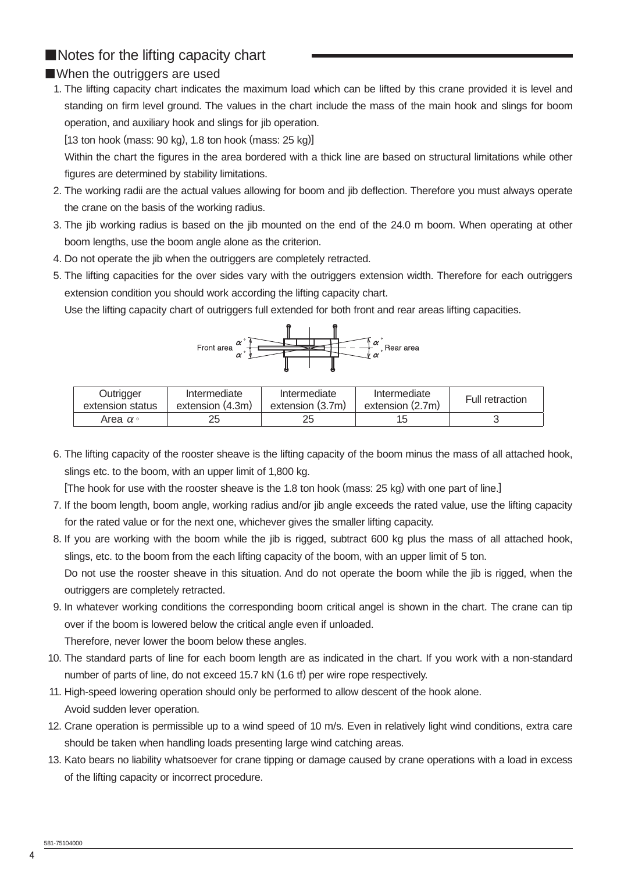# ■Notes for the lifting capacity chart

### ■When the outriggers are used

 1. The lifting capacity chart indicates the maximum load which can be lifted by this crane provided it is level and standing on firm level ground. The values in the chart include the mass of the main hook and slings for boom operation, and auxiliary hook and slings for jib operation.

[13 ton hook (mass: 90 kg), 1.8 ton hook (mass: 25 kg)]

Within the chart the figures in the area bordered with a thick line are based on structural limitations while other figures are determined by stability limitations.

- 2. The working radii are the actual values allowing for boom and jib deflection. Therefore you must always operate the crane on the basis of the working radius.
- 3. The jib working radius is based on the jib mounted on the end of the 24.0 m boom. When operating at other boom lengths, use the boom angle alone as the criterion.
- 4. Do not operate the jib when the outriggers are completely retracted.
- 5. The lifting capacities for the over sides vary with the outriggers extension width. Therefore for each outriggers extension condition you should work according the lifting capacity chart.

Use the lifting capacity chart of outriggers full extended for both front and rear areas lifting capacities.



| Outrigger             | Intermediate     | Intermediate     | Intermediate     | Full retraction |
|-----------------------|------------------|------------------|------------------|-----------------|
| extension status      | extension (4.3m) | extension (3.7m) | extension (2.7m) |                 |
| Area $\alpha$ $\circ$ | 25               | 25               | 15               |                 |

 6. The lifting capacity of the rooster sheave is the lifting capacity of the boom minus the mass of all attached hook, slings etc. to the boom, with an upper limit of 1,800 kg.

[The hook for use with the rooster sheave is the 1.8 ton hook (mass: 25 kg) with one part of line.]

- 7. If the boom length, boom angle, working radius and/or jib angle exceeds the rated value, use the lifting capacity for the rated value or for the next one, whichever gives the smaller lifting capacity.
- 8. If you are working with the boom while the jib is rigged, subtract 600 kg plus the mass of all attached hook, slings, etc. to the boom from the each lifting capacity of the boom, with an upper limit of 5 ton. Do not use the rooster sheave in this situation. And do not operate the boom while the jib is rigged, when the outriggers are completely retracted.
- 9. In whatever working conditions the corresponding boom critical angel is shown in the chart. The crane can tip over if the boom is lowered below the critical angle even if unloaded. Therefore, never lower the boom below these angles.
- 10. The standard parts of line for each boom length are as indicated in the chart. If you work with a non-standard number of parts of line, do not exceed 15.7 kN (1.6 tf) per wire rope respectively.
- 11. High-speed lowering operation should only be performed to allow descent of the hook alone. Avoid sudden lever operation.
- 12. Crane operation is permissible up to a wind speed of 10 m/s. Even in relatively light wind conditions, extra care should be taken when handling loads presenting large wind catching areas.
- 13. Kato bears no liability whatsoever for crane tipping or damage caused by crane operations with a load in excess of the lifting capacity or incorrect procedure.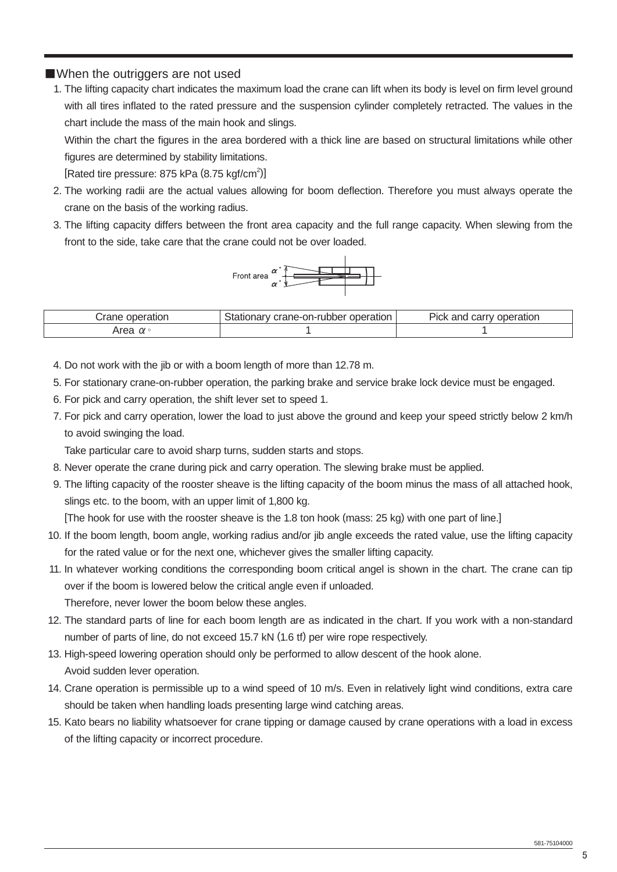#### ■When the outriggers are not used

1. The lifting capacity chart indicates the maximum load the crane can lift when its body is level on firm level ground with all tires inflated to the rated pressure and the suspension cylinder completely retracted. The values in the chart include the mass of the main hook and slings.

Within the chart the figures in the area bordered with a thick line are based on structural limitations while other figures are determined by stability limitations.

[Rated tire pressure: 875 kPa (8.75 kgf/cm<sup>2</sup>)]

- 2. The working radii are the actual values allowing for boom deflection. Therefore you must always operate the crane on the basis of the working radius.
- 3. The lifting capacity differs between the front area capacity and the full range capacity. When slewing from the front to the side, take care that the crane could not be over loaded.



| auor   | crane-on-rubber operation<br>∵ vialionary ل | Pick and<br>carr<br>operation |
|--------|---------------------------------------------|-------------------------------|
| $\sim$ |                                             |                               |

4. Do not work with the jib or with a boom length of more than 12.78 m.

- 5. For stationary crane-on-rubber operation, the parking brake and service brake lock device must be engaged.
- 6. For pick and carry operation, the shift lever set to speed 1.
- 7. For pick and carry operation, lower the load to just above the ground and keep your speed strictly below 2 km/h to avoid swinging the load.

Take particular care to avoid sharp turns, sudden starts and stops.

- 8. Never operate the crane during pick and carry operation. The slewing brake must be applied.
- 9. The lifting capacity of the rooster sheave is the lifting capacity of the boom minus the mass of all attached hook, slings etc. to the boom, with an upper limit of 1,800 kg.

[The hook for use with the rooster sheave is the 1.8 ton hook (mass: 25 kg) with one part of line.]

- 10. If the boom length, boom angle, working radius and/or jib angle exceeds the rated value, use the lifting capacity for the rated value or for the next one, whichever gives the smaller lifting capacity.
- 11. In whatever working conditions the corresponding boom critical angel is shown in the chart. The crane can tip over if the boom is lowered below the critical angle even if unloaded.

Therefore, never lower the boom below these angles.

- 12. The standard parts of line for each boom length are as indicated in the chart. If you work with a non-standard number of parts of line, do not exceed 15.7 kN (1.6 tf) per wire rope respectively.
- 13. High-speed lowering operation should only be performed to allow descent of the hook alone. Avoid sudden lever operation.
- 14. Crane operation is permissible up to a wind speed of 10 m/s. Even in relatively light wind conditions, extra care should be taken when handling loads presenting large wind catching areas.
- 15. Kato bears no liability whatsoever for crane tipping or damage caused by crane operations with a load in excess of the lifting capacity or incorrect procedure.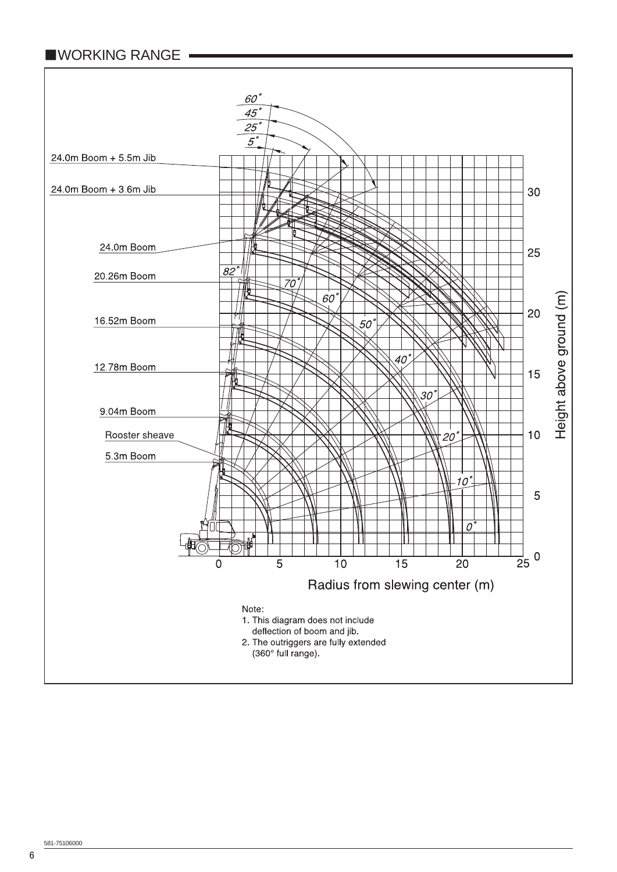# ■WORKING RANGE

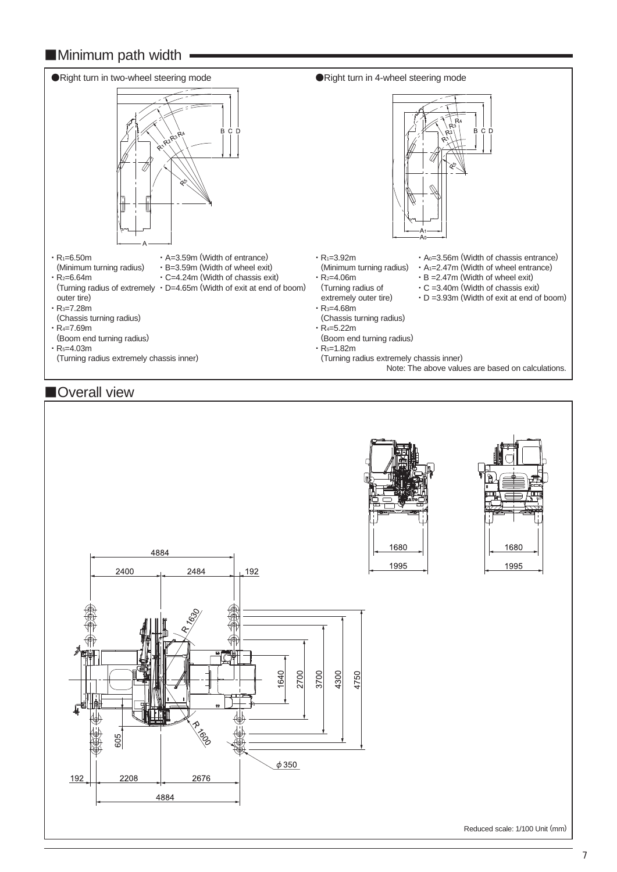# ■Minimum path width